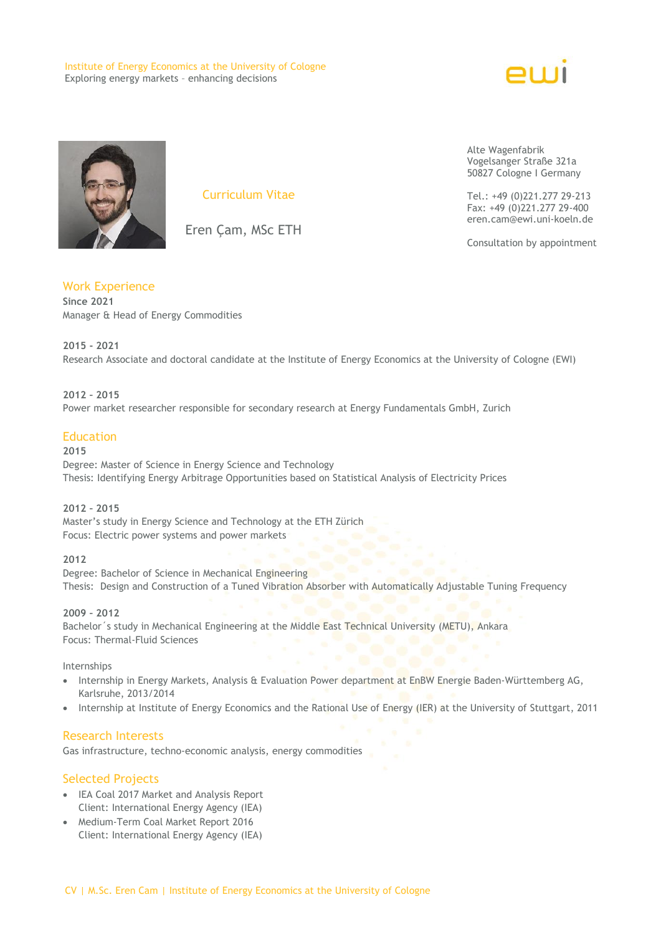Institute of Energy Economics at the University of Cologne Exploring energy markets – enhancing decisions





Curriculum Vitae

Eren Çam, MSc ETH

Work Experience **Since 2021** Manager & Head of Energy Commodities

**2015 - 2021** Research Associate and doctoral candidate at the Institute of Energy Economics at the University of Cologne (EWI)

## **2012 – 2015**

Power market researcher responsible for secondary research at Energy Fundamentals GmbH, Zurich

## **Education**

**2015**

Degree: Master of Science in Energy Science and Technology Thesis: Identifying Energy Arbitrage Opportunities based on Statistical Analysis of Electricity Prices

#### **2012 – 2015**

Master's study in Energy Science and Technology at the ETH Zürich Focus: Electric power systems and power markets

#### **2012**

Degree: Bachelor of Science in Mechanical Engineering Thesis: Design and Construction of a Tuned Vibration Absorber with Automatically Adjustable Tuning Frequency

## **2009 – 2012**

Bachelor´s study in Mechanical Engineering at the Middle East Technical University (METU), Ankara Focus: Thermal-Fluid Sciences

#### Internships

- Internship in Energy Markets, Analysis & Evaluation Power department at EnBW Energie Baden-Württemberg AG, Karlsruhe, 2013/2014
- Internship at Institute of Energy Economics and the Rational Use of Energy (IER) at the University of Stuttgart, 2011

## Research Interests

Gas infrastructure, techno-economic analysis, energy commodities

## Selected Projects

- IEA Coal 2017 Market and Analysis Report Client: International Energy Agency (IEA)
- [Medium-Term Coal Market Report 2016](http://www.ewi.research-scenarios.de/de/team/eren-cam/#studie-0) Client: International Energy Agency (IEA)

Alte Wagenfabrik Vogelsanger Straße 321a 50827 Cologne I Germany

Tel.: +49 (0)221.277 29-213 Fax: +49 (0)221.277 29-400 eren.cam@ewi.uni-koeln.de

Consultation by appointment